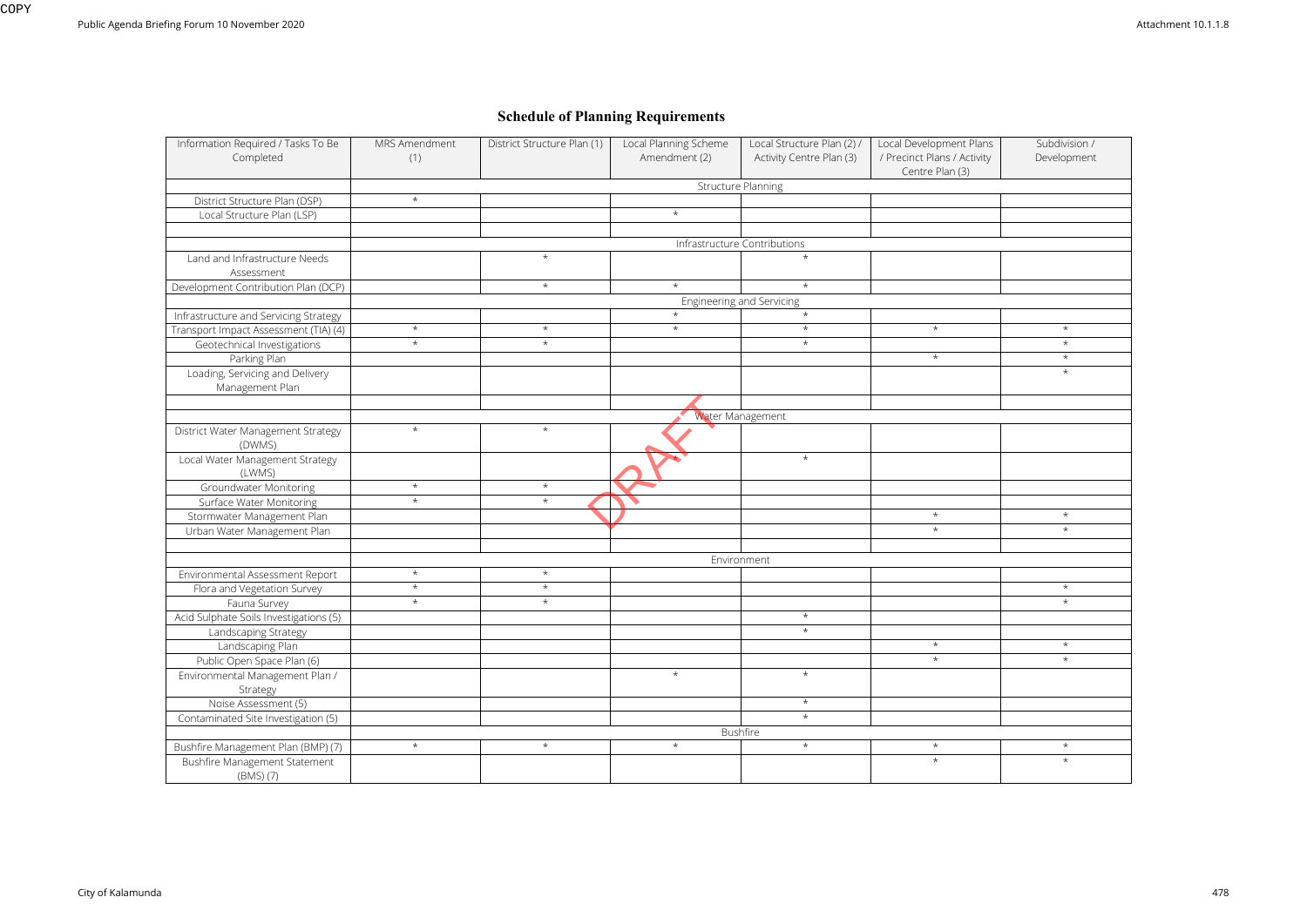| Information Required / Tasks To Be<br>Completed     | MRS Amendment<br>(1)         | District Structure Plan (1) | Local Planning Scheme<br>Amendment (2) | Local Structure Plan (2) /<br>Activity Centre Plan (3) | Local Development Plans<br>/ Precinct Plans / Activity<br>Centre Plan (3) | Subdivi<br>Develop |  |
|-----------------------------------------------------|------------------------------|-----------------------------|----------------------------------------|--------------------------------------------------------|---------------------------------------------------------------------------|--------------------|--|
|                                                     | <b>Structure Planning</b>    |                             |                                        |                                                        |                                                                           |                    |  |
| District Structure Plan (DSP)                       | $\star$                      |                             |                                        |                                                        |                                                                           |                    |  |
| Local Structure Plan (LSP)                          |                              |                             | $\star$                                |                                                        |                                                                           |                    |  |
|                                                     |                              |                             |                                        |                                                        |                                                                           |                    |  |
|                                                     | Infrastructure Contributions |                             |                                        |                                                        |                                                                           |                    |  |
| Land and Infrastructure Needs                       |                              | $\star$                     |                                        | $\star$                                                |                                                                           |                    |  |
| Assessment                                          |                              |                             |                                        |                                                        |                                                                           |                    |  |
| Development Contribution Plan (DCP)                 |                              | $\star$                     | $\star$                                | $\star$                                                |                                                                           |                    |  |
|                                                     | Engineering and Servicing    |                             |                                        |                                                        |                                                                           |                    |  |
| Infrastructure and Servicing Strategy               |                              |                             | $\star$                                | $\star$                                                |                                                                           |                    |  |
| Transport Impact Assessment (TIA) (4)               | $\star$                      | $\star$                     | $\star$                                | $\star$                                                | $\star$                                                                   | $\star$            |  |
| Geotechnical Investigations                         | $\star$                      | $\star$                     |                                        | $\star$                                                |                                                                           | $\star$            |  |
| Parking Plan                                        |                              |                             |                                        |                                                        | $\star$                                                                   | $\star$            |  |
| Loading, Servicing and Delivery<br>Management Plan  |                              |                             |                                        |                                                        |                                                                           | $\star$            |  |
|                                                     |                              |                             |                                        |                                                        |                                                                           |                    |  |
|                                                     | Water Management             |                             |                                        |                                                        |                                                                           |                    |  |
| District Water Management Strategy<br>(DWMS)        | $\star$                      | $\star$                     |                                        |                                                        |                                                                           |                    |  |
| Local Water Management Strategy<br>(LWMS)           |                              |                             |                                        | $\star$                                                |                                                                           |                    |  |
| Groundwater Monitoring                              | $\star$                      | $\star$                     |                                        |                                                        |                                                                           |                    |  |
| Surface Water Monitoring                            | $\star$                      | $\star$                     |                                        |                                                        |                                                                           |                    |  |
| Stormwater Management Plan                          |                              |                             |                                        |                                                        | $\star$                                                                   | $\star$            |  |
| Urban Water Management Plan                         |                              |                             |                                        |                                                        | $\star$                                                                   | $\star$            |  |
|                                                     |                              |                             |                                        |                                                        |                                                                           |                    |  |
|                                                     |                              |                             |                                        | Environment                                            |                                                                           |                    |  |
| Environmental Assessment Report                     | $\star$                      | $\star$                     |                                        |                                                        |                                                                           |                    |  |
| Flora and Vegetation Survey                         | $\star$                      | $\star$                     |                                        |                                                        |                                                                           | $\star$            |  |
| Fauna Survey                                        | $\star$                      | $\star$                     |                                        |                                                        |                                                                           | $\star$            |  |
| Acid Sulphate Soils Investigations (5)              |                              |                             |                                        | $\star$                                                |                                                                           |                    |  |
| Landscaping Strategy                                |                              |                             |                                        | $^\star$                                               |                                                                           |                    |  |
| Landscaping Plan                                    |                              |                             |                                        |                                                        | $\star$                                                                   | $\star$            |  |
| Public Open Space Plan (6)                          |                              |                             |                                        |                                                        | $\star$                                                                   | $\star$            |  |
| Environmental Management Plan /<br>Strategy         |                              |                             | $\star$                                | $\star$                                                |                                                                           |                    |  |
| Noise Assessment (5)                                |                              |                             |                                        | $\star$                                                |                                                                           |                    |  |
| Contaminated Site Investigation (5)                 |                              |                             |                                        | $\star$                                                |                                                                           |                    |  |
|                                                     |                              |                             |                                        | <b>Bushfire</b>                                        |                                                                           |                    |  |
| Bushfire Management Plan (BMP) (7)                  | $\star$                      | $\star$                     | $\star$                                | $\star$                                                | $\star$                                                                   | $\star$            |  |
| <b>Bushfire Management Statement</b><br>$(BMS)$ (7) |                              |                             |                                        |                                                        | $\star$                                                                   | $\star$            |  |

| ppment Plans    | Subdivision / |  |  |
|-----------------|---------------|--|--|
| lans / Activity | Development   |  |  |
|                 |               |  |  |
| Plan $(3)$      |               |  |  |
|                 |               |  |  |
|                 |               |  |  |
|                 |               |  |  |
|                 |               |  |  |
|                 |               |  |  |
|                 |               |  |  |
|                 |               |  |  |
|                 |               |  |  |
|                 |               |  |  |
|                 |               |  |  |
|                 |               |  |  |
|                 |               |  |  |
| $\star$         |               |  |  |
|                 | $\star$       |  |  |
|                 | $\star$       |  |  |
| $\star$         | $\star$       |  |  |
|                 | $\star$       |  |  |
|                 |               |  |  |
|                 |               |  |  |
|                 |               |  |  |
|                 |               |  |  |
|                 |               |  |  |
|                 |               |  |  |
|                 |               |  |  |
|                 |               |  |  |
|                 |               |  |  |
|                 |               |  |  |
|                 |               |  |  |
|                 |               |  |  |
| $\star$         | $^\star$      |  |  |
| $\star$         | $^\star$      |  |  |
|                 |               |  |  |
|                 |               |  |  |
|                 |               |  |  |
|                 |               |  |  |
|                 | $^\star$      |  |  |
|                 | $\star$       |  |  |
|                 |               |  |  |
|                 |               |  |  |
|                 |               |  |  |
| $\star$         | $^\star$      |  |  |
| $\star$         | $\star$       |  |  |
|                 |               |  |  |
|                 |               |  |  |
|                 |               |  |  |
|                 |               |  |  |
|                 |               |  |  |
|                 |               |  |  |
| $\star$         | $\star$       |  |  |
|                 |               |  |  |
| $\star$         | $\star$       |  |  |
|                 |               |  |  |

## **Schedule of Planning Requirements**